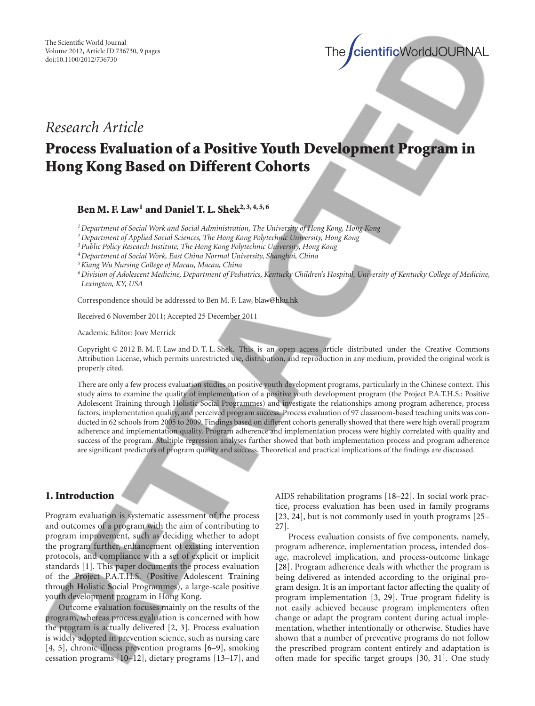$\text{intificWorldJOURNAL}$ 

## *Research Article*

# **Process Evaluation of a Positive Youth Development Program in Hong Kong Based on Different Cohorts**

#### **Ben M. F. Law1 and Daniel T. L. Shek2, 3, 4, 5, 6**

*1Department of Social Work and Social Administration, The University of Hong Kong, Hong Kong*

*2Department of Applied Social Sciences, The Hong Kong Polytechnic University, Hong Kong*

*3Public Policy Research Institute, The Hong Kong Polytechnic University, Hong Kong*

*4Department of Social Work, East China Normal University, Shanghai, China*

*5Kiang Wu Nursing College of Macau, Macau, China*

*6Division of Adolescent Medicine, Department of Pediatrics, Kentucky Children's Hospital, University of Kentucky College of Medicine, Lexington, KY, USA*

Correspondence should be addressed to Ben M. F. Law, blaw@hku.hk

Received 6 November 2011; Accepted 25 December 2011

Academic Editor: Joav Merrick

Copyright © 2012 B. M. F. Law and D. T. L. Shek. This is an open access article distributed under the Creative Commons Attribution License, which permits unrestricted use, distribution, and reproduction in any medium, provided the original work is properly cited.

There are only a few process evaluation studies on positive youth development programs, particularly in the Chinese context. This study aims to examine the quality of implementation of a positive youth development program (the Project P.A.T.H.S.: Positive Adolescent Training through Holistic Social Programmes) and investigate the relationships among program adherence, process factors, implementation quality, and perceived program success. Process evaluation of 97 classroom-based teaching units was conducted in 62 schools from 2005 to 2009. Findings based on different cohorts generally showed that there were high overall program adherence and implementation quality. Program adherence and implementation process were highly correlated with quality and success of the program. Multiple regression analyses further showed that both implementation process and program adherence are significant predictors of program quality and success. Theoretical and practical implications of the findings are discussed.

#### **1. Introduction**

Program evaluation is systematic assessment of the process and outcomes of a program with the aim of contributing to program improvement, such as deciding whether to adopt the program further, enhancement of existing intervention protocols, and compliance with a set of explicit or implicit standards [1]. This paper documents the process evaluation of the Project P.A.T.H.S. (**P**ositive **A**dolescent **T**raining through **H**olistic **S**ocial Programmes), a large-scale positive youth development program in Hong Kong.

Outcome evaluation focuses mainly on the results of the program, whereas process evaluation is concerned with how the program is actually delivered [2, 3]. Process evaluation is widely adopted in prevention science, such as nursing care [4, 5], chronic illness prevention programs [6–9], smoking cessation programs [10–12], dietary programs [13–17], and AIDS rehabilitation programs [18–22]. In social work practice, process evaluation has been used in family programs [23, 24], but is not commonly used in youth programs [25– 27].

Process evaluation consists of five components, namely, program adherence, implementation process, intended dosage, macrolevel implication, and process-outcome linkage [28]. Program adherence deals with whether the program is being delivered as intended according to the original program design. It is an important factor affecting the quality of program implementation [3, 29]. True program fidelity is not easily achieved because program implementers often change or adapt the program content during actual implementation, whether intentionally or otherwise. Studies have shown that a number of preventive programs do not follow the prescribed program content entirely and adaptation is often made for specific target groups [30, 31]. One study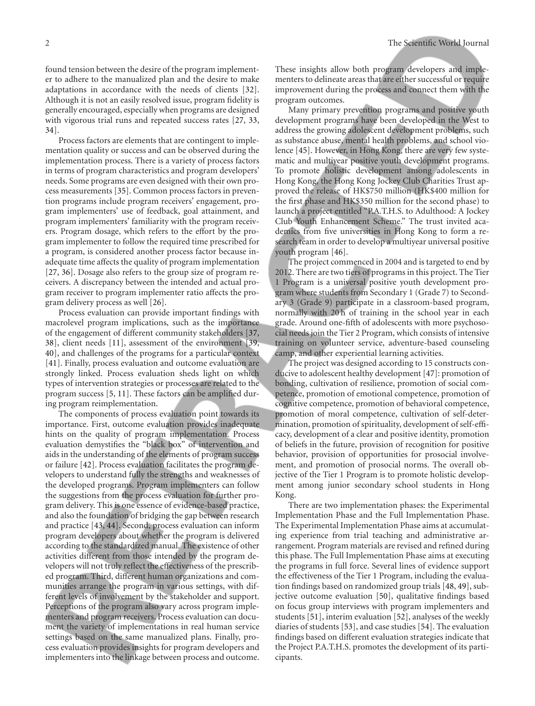found tension between the desire of the program implementer to adhere to the manualized plan and the desire to make adaptations in accordance with the needs of clients [32]. Although it is not an easily resolved issue, program fidelity is generally encouraged, especially when programs are designed with vigorous trial runs and repeated success rates [27, 33, 34].

Process factors are elements that are contingent to implementation quality or success and can be observed during the implementation process. There is a variety of process factors in terms of program characteristics and program developers' needs. Some programs are even designed with their own process measurements [35]. Common process factors in prevention programs include program receivers' engagement, program implementers' use of feedback, goal attainment, and program implementers' familiarity with the program receivers. Program dosage, which refers to the effort by the program implementer to follow the required time prescribed for a program, is considered another process factor because inadequate time affects the quality of program implementation [27, 36]. Dosage also refers to the group size of program receivers. A discrepancy between the intended and actual program receiver to program implementer ratio affects the program delivery process as well [26].

Process evaluation can provide important findings with macrolevel program implications, such as the importance of the engagement of different community stakeholders [37, 38], client needs [11], assessment of the environment [39, 40], and challenges of the programs for a particular context [41]. Finally, process evaluation and outcome evaluation are strongly linked. Process evaluation sheds light on which types of intervention strategies or processes are related to the program success [5, 11]. These factors can be amplified during program reimplementation.

The components of process evaluation point towards its importance. First, outcome evaluation provides inadequate hints on the quality of program implementation. Process evaluation demystifies the "black box" of intervention and aids in the understanding of the elements of program success or failure [42]. Process evaluation facilitates the program developers to understand fully the strengths and weaknesses of the developed programs. Program implementers can follow the suggestions from the process evaluation for further program delivery. This is one essence of evidence-based practice, and also the foundation of bridging the gap between research and practice [43, 44]. Second, process evaluation can inform program developers about whether the program is delivered according to the standardized manual. The existence of other activities different from those intended by the program developers will not truly reflect the effectiveness of the prescribed program. Third, different human organizations and communities arrange the program in various settings, with different levels of involvement by the stakeholder and support. Perceptions of the program also vary across program implementers and program receivers. Process evaluation can document the variety of implementations in real human service settings based on the same manualized plans. Finally, process evaluation provides insights for program developers and implementers into the linkage between process and outcome.

These insights allow both program developers and implementers to delineate areas that are either successful or require improvement during the process and connect them with the program outcomes.

Many primary prevention programs and positive youth development programs have been developed in the West to address the growing adolescent development problems, such as substance abuse, mental health problems, and school violence [45]. However, in Hong Kong, there are very few systematic and multiyear positive youth development programs. To promote holistic development among adolescents in Hong Kong, the Hong Kong Jockey Club Charities Trust approved the release of HK\$750 million (HK\$400 million for the first phase and HK\$350 million for the second phase) to launch a project entitled "P.A.T.H.S. to Adulthood: A Jockey Club Youth Enhancement Scheme." The trust invited academics from five universities in Hong Kong to form a research team in order to develop a multiyear universal positive youth program [46].

The project commenced in 2004 and is targeted to end by 2012. There are two tiers of programs in this project. The Tier 1 Program is a universal positive youth development program where students from Secondary 1 (Grade 7) to Secondary 3 (Grade 9) participate in a classroom-based program, normally with 20 h of training in the school year in each grade. Around one-fifth of adolescents with more psychosocial needs join the Tier 2 Program, which consists of intensive training on volunteer service, adventure-based counseling camp, and other experiential learning activities.

The project was designed according to 15 constructs conducive to adolescent healthy development [47]: promotion of bonding, cultivation of resilience, promotion of social competence, promotion of emotional competence, promotion of cognitive competence, promotion of behavioral competence, promotion of moral competence, cultivation of self-determination, promotion of spirituality, development of self-efficacy, development of a clear and positive identity, promotion of beliefs in the future, provision of recognition for positive behavior, provision of opportunities for prosocial involvement, and promotion of prosocial norms. The overall objective of the Tier 1 Program is to promote holistic development among junior secondary school students in Hong Kong.

There are two implementation phases: the Experimental Implementation Phase and the Full Implementation Phase. The Experimental Implementation Phase aims at accumulating experience from trial teaching and administrative arrangement. Program materials are revised and refined during this phase. The Full Implementation Phase aims at executing the programs in full force. Several lines of evidence support the effectiveness of the Tier 1 Program, including the evaluation findings based on randomized group trials [48, 49], subjective outcome evaluation [50], qualitative findings based on focus group interviews with program implementers and students [51], interim evaluation [52], analyses of the weekly diaries of students [53], and case studies [54]. The evaluation findings based on different evaluation strategies indicate that the Project P.A.T.H.S. promotes the development of its participants.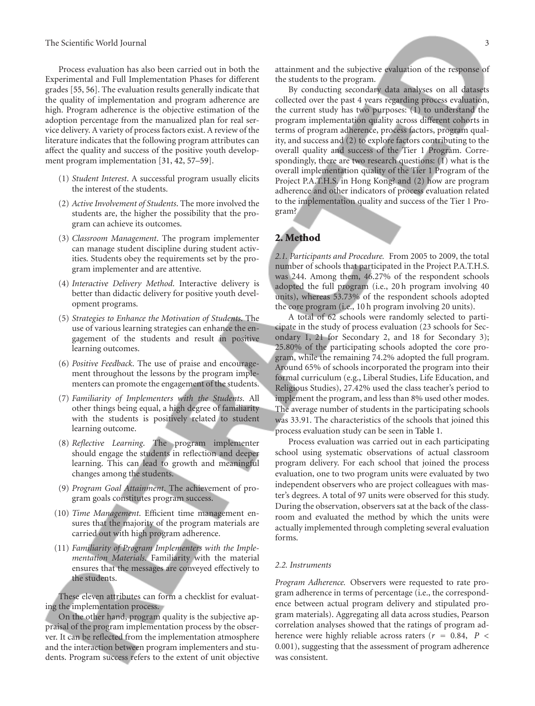Process evaluation has also been carried out in both the Experimental and Full Implementation Phases for different grades [55, 56]. The evaluation results generally indicate that the quality of implementation and program adherence are high. Program adherence is the objective estimation of the adoption percentage from the manualized plan for real service delivery. A variety of process factors exist. A review of the literature indicates that the following program attributes can affect the quality and success of the positive youth development program implementation [31, 42, 57–59].

- (1) *Student Interest*. A successful program usually elicits the interest of the students.
- (2) *Active Involvement of Students*. The more involved the students are, the higher the possibility that the program can achieve its outcomes.
- (3) *Classroom Management*. The program implementer can manage student discipline during student activities. Students obey the requirements set by the program implementer and are attentive.
- (4) *Interactive Delivery Method*. Interactive delivery is better than didactic delivery for positive youth development programs.
- (5) *Strategies to Enhance the Motivation of Students*. The use of various learning strategies can enhance the engagement of the students and result in positive learning outcomes.
- (6) *Positive Feedback*. The use of praise and encouragement throughout the lessons by the program implementers can promote the engagement of the students.
- (7) *Familiarity of Implementers with the Students*. All other things being equal, a high degree of familiarity with the students is positively related to student learning outcome.
- (8) *Reflective Learning*. The program implementer should engage the students in reflection and deeper learning. This can lead to growth and meaningful changes among the students.
- (9) *Program Goal Attainment*. The achievement of program goals constitutes program success.
- (10) *Time Management*. Efficient time management ensures that the majority of the program materials are carried out with high program adherence.
- (11) *Familiarity of Program Implementers with the Implementation Materials*. Familiarity with the material ensures that the messages are conveyed effectively to the students.

These eleven attributes can form a checklist for evaluating the implementation process.

On the other hand, program quality is the subjective appraisal of the program implementation process by the observer. It can be reflected from the implementation atmosphere and the interaction between program implementers and students. Program success refers to the extent of unit objective

attainment and the subjective evaluation of the response of the students to the program.

By conducting secondary data analyses on all datasets collected over the past 4 years regarding process evaluation, the current study has two purposes: (1) to understand the program implementation quality across different cohorts in terms of program adherence, process factors, program quality, and success and (2) to explore factors contributing to the overall quality and success of the Tier 1 Program. Correspondingly, there are two research questions: (1) what is the overall implementation quality of the Tier 1 Program of the Project P.A.T.H.S. in Hong Kong? and (2) how are program adherence and other indicators of process evaluation related to the implementation quality and success of the Tier 1 Program?

### **2. Method**

*2.1. Participants and Procedure.* From 2005 to 2009, the total number of schools that participated in the Project P.A.T.H.S. was 244. Among them, 46.27% of the respondent schools adopted the full program (i.e., 20 h program involving 40 units), whereas 53.73% of the respondent schools adopted the core program (i.e., 10 h program involving 20 units).

A total of 62 schools were randomly selected to participate in the study of process evaluation (23 schools for Secondary 1, 21 for Secondary 2, and 18 for Secondary 3); 25.80% of the participating schools adopted the core program, while the remaining 74.2% adopted the full program. Around 65% of schools incorporated the program into their formal curriculum (e.g., Liberal Studies, Life Education, and Religious Studies), 27.42% used the class teacher's period to implement the program, and less than 8% used other modes. The average number of students in the participating schools was 33.91. The characteristics of the schools that joined this process evaluation study can be seen in Table 1.

Process evaluation was carried out in each participating school using systematic observations of actual classroom program delivery. For each school that joined the process evaluation, one to two program units were evaluated by two independent observers who are project colleagues with master's degrees. A total of 97 units were observed for this study. During the observation, observers sat at the back of the classroom and evaluated the method by which the units were actually implemented through completing several evaluation forms.

#### *2.2. Instruments*

*Program Adherence.* Observers were requested to rate program adherence in terms of percentage (i.e., the correspondence between actual program delivery and stipulated program materials). Aggregating all data across studies, Pearson correlation analyses showed that the ratings of program adherence were highly reliable across raters (*<sup>r</sup>* <sup>=</sup> <sup>0</sup>*.*84, *P <* 0*.*001), suggesting that the assessment of program adherence was consistent.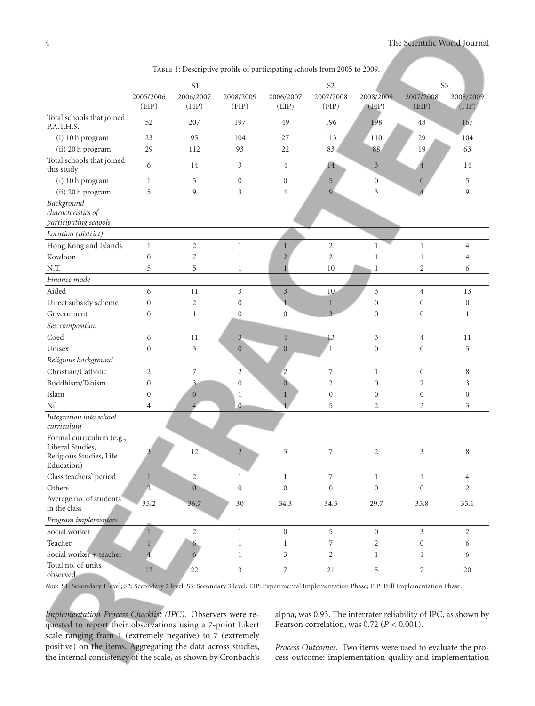|                                                                                       | TABLE 1: Descriptive profile of participating schools from 2005 to 2009. |                    |                    |                    |                    |                    |                    |                    |
|---------------------------------------------------------------------------------------|--------------------------------------------------------------------------|--------------------|--------------------|--------------------|--------------------|--------------------|--------------------|--------------------|
|                                                                                       |                                                                          | S <sub>1</sub>     |                    |                    | S <sub>2</sub>     |                    | S <sub>3</sub>     |                    |
|                                                                                       | 2005/2006<br>(EIP)                                                       | 2006/2007<br>(FIP) | 2008/2009<br>(FIP) | 2006/2007<br>(EIP) | 2007/2008<br>(FIP) | 2008/2009<br>(FIP) | 2007/2008<br>(EIP) | 2008/2009<br>(FIP) |
| Total schools that joined<br>P.A.T.H.S.                                               | 52                                                                       | 207                | 197                | 49                 | 196                | 198                | 48                 | 167                |
| (i) 10 h program                                                                      | 23                                                                       | 95                 | 104                | 27                 | 113                | 110                | 29                 | 104                |
| (ii) 20 h program                                                                     | 29                                                                       | 112                | 93                 | 22                 | 83                 | 88                 | 19                 | 63                 |
| Total schools that joined<br>this study                                               | 6                                                                        | 14                 | 3                  | 4                  | 14                 | $\mathfrak{Z}$     | $\overline{4}$     | 14                 |
| (i) 10 h program                                                                      | $\mathbf{1}$                                                             | 5                  | $\boldsymbol{0}$   | $\boldsymbol{0}$   | 5                  | $\overline{0}$     | $\mathbf{0}$       | 5                  |
| (ii) 20 h program                                                                     | 5                                                                        | 9                  | 3                  | $\overline{4}$     | 9                  | 3                  | $\overline{4}$     | 9                  |
| Background<br>characteristics of<br>participating schools                             |                                                                          |                    |                    |                    |                    |                    |                    |                    |
| Location (district)                                                                   |                                                                          |                    |                    |                    |                    |                    |                    |                    |
| Hong Kong and Islands                                                                 | $\mathbf{1}$                                                             | $\overline{c}$     | $\mathbf{1}$       | $\mathbf{1}$       | $\overline{2}$     | 1                  | $\mathbf{1}$       | $\overline{4}$     |
| Kowloon                                                                               | $\boldsymbol{0}$                                                         | 7                  | $\mathbf{1}$       | $\overline{2}$     | $\overline{c}$     | $\mathbf{1}$       | 1                  | $\overline{4}$     |
| N.T.                                                                                  | 5                                                                        | 5                  | $\mathbf{1}$       | $\mathbf{1}$       | 10                 | 1                  | $\overline{2}$     | 6                  |
| Finance mode                                                                          |                                                                          |                    |                    |                    |                    |                    |                    |                    |
| Aided                                                                                 | 6                                                                        | 11                 | 3                  | $\mathfrak{Z}$     | $10\,$             | 3                  | $\overline{4}$     | 13                 |
| Direct subsidy scheme                                                                 | $\mathbf{0}$                                                             | $\overline{c}$     | $\boldsymbol{0}$   | 1                  | $\mathbf{1}$       | $\boldsymbol{0}$   | $\mathbf{0}$       | $\boldsymbol{0}$   |
| Government                                                                            | $\boldsymbol{0}$                                                         | 1                  | $\boldsymbol{0}$   | $\boldsymbol{0}$   | 3 <sup>1</sup>     | $\boldsymbol{0}$   | $\mathbf{0}$       | $\mathbf{1}$       |
| Sex composition                                                                       |                                                                          |                    |                    |                    |                    |                    |                    |                    |
| Coed                                                                                  | 6                                                                        | 11                 | 3 <sub>1</sub>     | $\overline{4}$     | 13                 | 3                  | $\overline{4}$     | 11                 |
| Unisex                                                                                | $\boldsymbol{0}$                                                         | 3                  | $\overline{0}$     | $\mathbf{0}$       | $\mathbf{1}$       | $\boldsymbol{0}$   | $\boldsymbol{0}$   | $\mathfrak{Z}$     |
| Religious background                                                                  |                                                                          |                    |                    |                    |                    |                    |                    |                    |
| Christian/Catholic                                                                    | $\overline{2}$                                                           | 7                  | $\sqrt{2}$         | $\overline{2}$     | 7                  | $\mathbf{1}$       | $\boldsymbol{0}$   | 8                  |
| Buddhism/Taoism                                                                       | $\mathbf{0}$                                                             | $\overline{3}$     | $\mathbf{0}$       | $\boldsymbol{0}$   | $\overline{c}$     | $\boldsymbol{0}$   | 2                  | 3                  |
| Islam                                                                                 | $\boldsymbol{0}$                                                         | $\mathbf{0}$       | 1                  | $\mathbf{1}$       | $\boldsymbol{0}$   | $\overline{0}$     | $\mathbf{0}$       | $\boldsymbol{0}$   |
| Nil                                                                                   | $\overline{4}$                                                           | $\overline{4}$     | $\mathbf{0}$       |                    | 5                  | $\overline{2}$     | $\overline{2}$     | 3                  |
| Integration into school<br>curriculum                                                 |                                                                          |                    |                    |                    |                    |                    |                    |                    |
| Formal curriculum (e.g.,<br>Liberal Studies,<br>Religious Studies, Life<br>Education) | 3                                                                        | 12                 | $\overline{2}$     | 3                  | 7                  | $\overline{2}$     | 3                  | 8                  |
| Class teachers' period                                                                | $\mathbf{1}$                                                             | $\overline{c}$     | $\mathbf{1}$       | $\mathbf{1}$       | 7                  | $\mathbf{1}$       | $\mathbf{1}$       | $\overline{4}$     |
| Others                                                                                | $\overline{2}$                                                           | $\overline{0}$     | $\boldsymbol{0}$   | $\boldsymbol{0}$   | $\boldsymbol{0}$   | $\boldsymbol{0}$   | $\boldsymbol{0}$   | $\overline{2}$     |
| Average no. of students<br>in the class                                               | 35.2                                                                     | 36.7               | 30                 | 34.3               | 34.5               | 29.7               | 35.8               | 35.1               |
| Program implementers                                                                  |                                                                          |                    |                    |                    |                    |                    |                    |                    |
| Social worker                                                                         | $\mathbf{1}$                                                             | $\overline{c}$     | $\mathbf{1}$       | $\boldsymbol{0}$   | 5                  | $\boldsymbol{0}$   | $\mathfrak{Z}$     | $\sqrt{2}$         |
| Teacher                                                                               | 1                                                                        | 6                  | $\mathbf{1}$       | $\mathbf{1}$       | 7                  | 2                  | $\boldsymbol{0}$   | 6                  |
| Social worker + teacher                                                               | $\overline{4}$                                                           | 6                  | $\mathbf{1}$       | 3                  | 2                  | $\mathbf{1}$       | $\mathbf{1}$       | 6                  |
| Total no. of units<br>observed                                                        | $12\,$                                                                   | 22                 | 3                  | 7                  | 21                 | 5                  | 7                  | 20                 |

*Note*. S1: Secondary 1 level; S2: Secondary 2 level; S3: Secondary 3 level; EIP: Experimental Implementation Phase; FIP: Full Implementation Phase.

*Implementation Process Checklist (IPC).* Observers were requested to report their observations using a 7-point Likert scale ranging from 1 (extremely negative) to 7 (extremely positive) on the items. Aggregating the data across studies, the internal consistency of the scale, as shown by Cronbach's

alpha, was 0.93. The interrater reliability of IPC, as shown by Pearson correlation, was 0.72 (*P <* 0*.*001).

*Process Outcomes.* Two items were used to evaluate the process outcome: implementation quality and implementation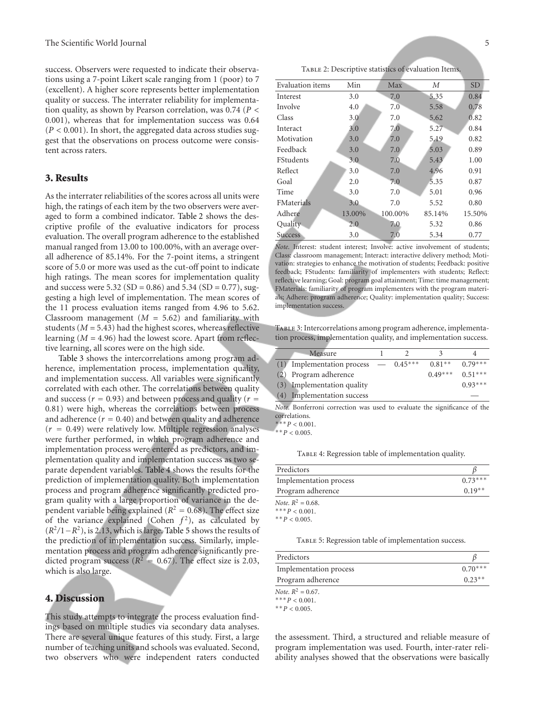success. Observers were requested to indicate their observations using a 7-point Likert scale ranging from 1 (poor) to 7 (excellent). A higher score represents better implementation quality or success. The interrater reliability for implementation quality, as shown by Pearson correlation, was 0.74 (*P <* 0*.*001), whereas that for implementation success was 0.64 (*P <* 0*.*001). In short, the aggregated data across studies suggest that the observations on process outcome were consistent across raters.

#### **3. Results**

As the interrater reliabilities of the scores across all units were high, the ratings of each item by the two observers were averaged to form a combined indicator. Table 2 shows the descriptive profile of the evaluative indicators for process evaluation. The overall program adherence to the established manual ranged from 13.00 to 100.00%, with an average overall adherence of 85.14%. For the 7-point items, a stringent score of 5.0 or more was used as the cut-off point to indicate high ratings. The mean scores for implementation quality and success were 5.32 (SD = 0.86) and 5.34 (SD = 0.77), suggesting a high level of implementation. The mean scores of the 11 process evaluation items ranged from 4.96 to 5.62. Classroom management  $(M = 5.62)$  and familiarity with students  $(M = 5.43)$  had the highest scores, whereas reflective learning  $(M = 4.96)$  had the lowest score. Apart from reflective learning, all scores were on the high side.

Table 3 shows the intercorrelations among program adherence, implementation process, implementation quality, and implementation success. All variables were significantly correlated with each other. The correlations between quality and success ( $r = 0.93$ ) and between process and quality ( $r =$ 0*.*81) were high, whereas the correlations between process and adherence  $(r = 0.40)$  and between quality and adherence (*<sup>r</sup>* <sup>=</sup> <sup>0</sup>*.*49) were relatively low. Multiple regression analyses were further performed, in which program adherence and implementation process were entered as predictors, and implementation quality and implementation success as two separate dependent variables. Table 4 shows the results for the prediction of implementation quality. Both implementation process and program adherence significantly predicted program quality with a large proportion of variance in the dependent variable being explained ( $R^2 = 0.68$ ). The effect size of the variance explained (Cohen  $f^2$ ), as calculated by (*R*2*/*1−*R*2), is 2.13, which is large. Table 5 shows the results of the prediction of implementation success. Similarly, implementation process and program adherence significantly predicted program success ( $R^2 = 0.67$ ). The effect size is 2.03, which is also large.

#### **4. Discussion**

This study attempts to integrate the process evaluation findings based on multiple studies via secondary data analyses. There are several unique features of this study. First, a large number of teaching units and schools was evaluated. Second, two observers who were independent raters conducted

TABLE 2: Descriptive statistics of evaluation Items.

| Evaluation items  | Min    | Max     | М      | <b>SD</b> |
|-------------------|--------|---------|--------|-----------|
| Interest          | 3.0    | 7.0     | 5.35   | 0.84      |
| Involve           | 4.0    | 7.0     | 5.58   | 0.78      |
| Class             | 3.0    | 7.0     | 5.62   | 0.82      |
| Interact          | 3.0    | 7.0     | 5.27   | 0.84      |
| Motivation        | 3.0    | 7.0     | 5.19   | 0.82      |
| Feedback          | 3.0    | 7.0     | 5.03   | 0.89      |
| <b>FStudents</b>  | 3.0    | 7.0     | 5.43   | 1.00      |
| Reflect           | 3.0    | 7.0     | 4.96   | 0.91      |
| Goal              | 2.0    | 7.0     | 5.35   | 0.87      |
| Time              | 3.0    | 7.0     | 5.01   | 0.96      |
| <b>FMaterials</b> | 3.0    | 7.0     | 5.52   | 0.80      |
| Adhere            | 13.00% | 100.00% | 85.14% | 15.50%    |
| Quality           | 2.0    | 7.0     | 5.32   | 0.86      |
| <b>Success</b>    | 3.0    | 7.0     | 5.34   | 0.77      |

Note. Interest: student interest; Involve: active involvement of students; Class: classroom management; Interact: interactive delivery method; Motivation: strategies to enhance the motivation of students; Feedback: positive feedback; FStudents: familiarity of implementers with students; Reflect: reflective learning; Goal: program goal attainment; Time: time management; FMaterials: familiarity of program implementers with the program materials; Adhere: program adherence; Quality: implementation quality; Success: implementation success.

TABLE 3: Intercorrelations among program adherence, implementation process, implementation quality, and implementation success.

|     | Measure                                |  |           |           |
|-----|----------------------------------------|--|-----------|-----------|
|     | (1) Implementation process $-$ 0.45*** |  | $0.81**$  | $0.79***$ |
|     | (2) Program adherence                  |  | $0.49***$ | $0.51***$ |
|     | (3) Implementation quality             |  |           | $0.93***$ |
| (4) | Implementation success                 |  |           |           |
|     |                                        |  |           |           |

*Note.* Bonferroni correction was used to evaluate the significance of the correlations.

∗∗∗*P <* 0*.*001.

 $* * P < 0.005$ .

TABLE 4: Regression table of implementation quality.

| Predictors             |           |
|------------------------|-----------|
| Implementation process | $0.73***$ |
| Program adherence      | $0.19**$  |
| Note, $R^2 = 0.68$ .   |           |
| *** $P < 0.001$ .      |           |
| ** $P < 0.005$ .       |           |
|                        |           |

TABLE 5: Regression table of implementation success.

| Predictors             |           |
|------------------------|-----------|
| Implementation process | $0.70***$ |
| Program adherence      | $0.23**$  |

*Note.*  $R^2 = 0.67$ .

∗∗∗*P <* 0*.*001.

∗∗*P <* 0*.*005.

the assessment. Third, a structured and reliable measure of program implementation was used. Fourth, inter-rater reliability analyses showed that the observations were basically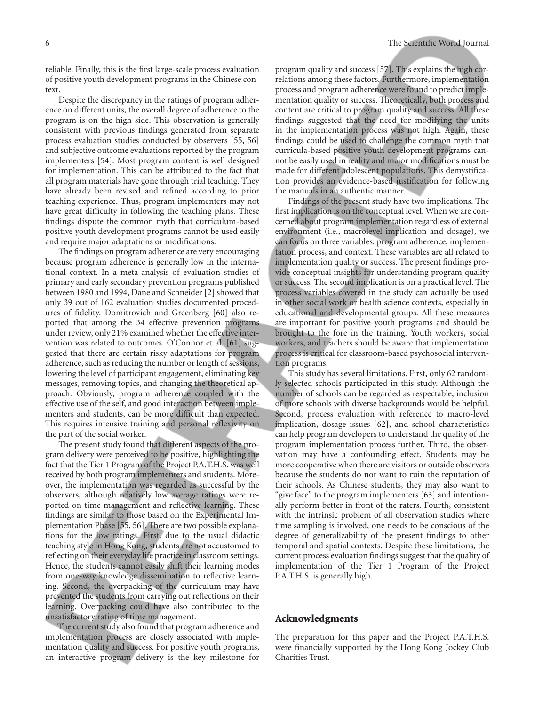reliable. Finally, this is the first large-scale process evaluation of positive youth development programs in the Chinese context.

Despite the discrepancy in the ratings of program adherence on different units, the overall degree of adherence to the program is on the high side. This observation is generally consistent with previous findings generated from separate process evaluation studies conducted by observers [55, 56] and subjective outcome evaluations reported by the program implementers [54]. Most program content is well designed for implementation. This can be attributed to the fact that all program materials have gone through trial teaching. They have already been revised and refined according to prior teaching experience. Thus, program implementers may not have great difficulty in following the teaching plans. These findings dispute the common myth that curriculum-based positive youth development programs cannot be used easily and require major adaptations or modifications.

The findings on program adherence are very encouraging because program adherence is generally low in the international context. In a meta-analysis of evaluation studies of primary and early secondary prevention programs published between 1980 and 1994, Dane and Schneider [2] showed that only 39 out of 162 evaluation studies documented procedures of fidelity. Domitrovich and Greenberg [60] also reported that among the 34 effective prevention programs under review, only 21% examined whether the effective intervention was related to outcomes. O'Connor et al. [61] suggested that there are certain risky adaptations for program adherence, such as reducing the number or length of sessions, lowering the level of participant engagement, eliminating key messages, removing topics, and changing the theoretical approach. Obviously, program adherence coupled with the effective use of the self, and good interaction between implementers and students, can be more difficult than expected. This requires intensive training and personal reflexivity on the part of the social worker.

The present study found that different aspects of the program delivery were perceived to be positive, highlighting the fact that the Tier 1 Program of the Project P.A.T.H.S. was well received by both program implementers and students. Moreover, the implementation was regarded as successful by the observers, although relatively low average ratings were reported on time management and reflective learning. These findings are similar to those based on the Experimental Implementation Phase [55, 56]. There are two possible explanations for the low ratings. First, due to the usual didactic teaching style in Hong Kong, students are not accustomed to reflecting on their everyday life practice in classroom settings. Hence, the students cannot easily shift their learning modes from one-way knowledge dissemination to reflective learning. Second, the overpacking of the curriculum may have prevented the students from carrying out reflections on their learning. Overpacking could have also contributed to the unsatisfactory rating of time management.

The current study also found that program adherence and implementation process are closely associated with implementation quality and success. For positive youth programs, an interactive program delivery is the key milestone for

program quality and success [57]. This explains the high correlations among these factors. Furthermore, implementation process and program adherence were found to predict implementation quality or success. Theoretically, both process and content are critical to program quality and success. All these findings suggested that the need for modifying the units in the implementation process was not high. Again, these findings could be used to challenge the common myth that curricula-based positive youth development programs cannot be easily used in reality and major modifications must be made for different adolescent populations. This demystification provides an evidence-based justification for following the manuals in an authentic manner.

Findings of the present study have two implications. The first implication is on the conceptual level. When we are concerned about program implementation regardless of external environment (i.e., macrolevel implication and dosage), we can focus on three variables: program adherence, implementation process, and context. These variables are all related to implementation quality or success. The present findings provide conceptual insights for understanding program quality or success. The second implication is on a practical level. The process variables covered in the study can actually be used in other social work or health science contexts, especially in educational and developmental groups. All these measures are important for positive youth programs and should be brought to the fore in the training. Youth workers, social workers, and teachers should be aware that implementation process is critical for classroom-based psychosocial intervention programs.

This study has several limitations. First, only 62 randomly selected schools participated in this study. Although the number of schools can be regarded as respectable, inclusion of more schools with diverse backgrounds would be helpful. Second, process evaluation with reference to macro-level implication, dosage issues [62], and school characteristics can help program developers to understand the quality of the program implementation process further. Third, the observation may have a confounding effect. Students may be more cooperative when there are visitors or outside observers because the students do not want to ruin the reputation of their schools. As Chinese students, they may also want to "give face" to the program implementers [63] and intentionally perform better in front of the raters. Fourth, consistent with the intrinsic problem of all observation studies where time sampling is involved, one needs to be conscious of the degree of generalizability of the present findings to other temporal and spatial contexts. Despite these limitations, the current process evaluation findings suggest that the quality of implementation of the Tier 1 Program of the Project P.A.T.H.S. is generally high.

#### **Acknowledgments**

The preparation for this paper and the Project P.A.T.H.S. were financially supported by the Hong Kong Jockey Club Charities Trust.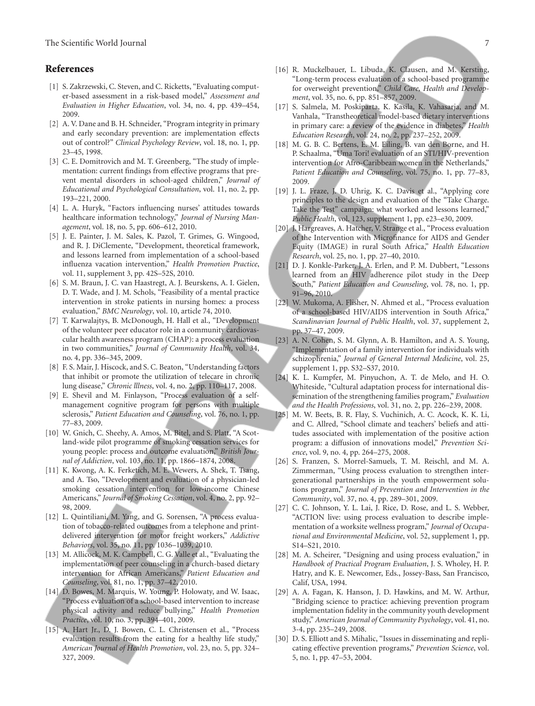#### **References**

- [1] S. Zakrzewski, C. Steven, and C. Ricketts, "Evaluating computer-based assessment in a risk-based model," *Assessment and Evaluation in Higher Education*, vol. 34, no. 4, pp. 439–454, 2009.
- [2] A. V. Dane and B. H. Schneider, "Program integrity in primary and early secondary prevention: are implementation effects out of control?" *Clinical Psychology Review*, vol. 18, no. 1, pp. 23–45, 1998.
- [3] C. E. Domitrovich and M. T. Greenberg, "The study of implementation: current findings from effective programs that prevent mental disorders in school-aged children," *Journal of Educational and Psychological Consultation*, vol. 11, no. 2, pp. 193–221, 2000.
- [4] L. A. Huryk, "Factors influencing nurses' attitudes towards healthcare information technology," *Journal of Nursing Management*, vol. 18, no. 5, pp. 606–612, 2010.
- [5] J. E. Painter, J. M. Sales, K. Pazol, T. Grimes, G. Wingood, and R. J. DiClemente, "Development, theoretical framework, and lessons learned from implementation of a school-based influenza vacation intervention," *Health Promotion Practice*, vol. 11, supplement 3, pp. 42S–52S, 2010.
- [6] S. M. Braun, J. C. van Haastregt, A. J. Beurskens, A. I. Gielen, D. T. Wade, and J. M. Schols, "Feasibility of a mental practice intervention in stroke patients in nursing homes: a process evaluation," *BMC Neurology*, vol. 10, article 74, 2010.
- [7] T. Karwalajtys, B. McDonough, H. Hall et al., "Development of the volunteer peer educator role in a community cardiovascular health awareness program (CHAP): a process evaluation in two communities," *Journal of Community Health*, vol. 34, no. 4, pp. 336–345, 2009.
- [8] F. S. Mair, J. Hiscock, and S. C. Beaton, "Understanding factors that inhibit or promote the utilization of telecare in chronic lung disease," *Chronic lllness*, vol. 4, no. 2, pp. 110–117, 2008.
- [9] E. Shevil and M. Finlayson, "Process evaluation of a selfmanagement cognitive program for persons with multiple sclerosis," *Patient Education and Counseling*, vol. 76, no. 1, pp. 77–83, 2009.
- [10] W. Gnich, C. Sheehy, A. Amos, M. Bitel, and S. Platt, "A Scotland-wide pilot programme of smoking cessation services for young people: process and outcome evaluation," *British Journal of Addiction*, vol. 103, no. 11, pp. 1866–1874, 2008.
- [11] K. Kwong, A. K. Ferketich, M. E. Wewers, A. Shek, T. Tsang, and A. Tso, "Development and evaluation of a physician-led smoking cessation intervention for low-income Chinese Americans," *Journal of Smoking Cessation*, vol. 4, no. 2, pp. 92– 98, 2009.
- [12] L. Quintiliani, M. Yang, and G. Sorensen, "A process evaluation of tobacco-related outcomes from a telephone and printdelivered intervention for motor freight workers," *Addictive Behaviors*, vol. 35, no. 11, pp. 1036–1039, 2010.
- [13] M. Allicock, M. K. Campbell, C. G. Valle et al., "Evaluating the implementation of peer counseling in a church-based dietary intervention for African Americans," *Patient Education and Counseling*, vol. 81, no. 1, pp. 37–42, 2010.
- [14] D. Bowes, M. Marquis, W. Young, P. Holowaty, and W. Isaac, "Process evaluation of a school-based intervention to increase physical activity and reduce bullying," *Health Promotion Practice*, vol. 10, no. 3, pp. 394–401, 2009.
- [15] A. Hart Jr., D. J. Bowen, C. L. Christensen et al., "Process evaluation results from the eating for a healthy life study," *American Journal of Health Promotion*, vol. 23, no. 5, pp. 324– 327, 2009.
- [16] R. Muckelbauer, L. Libuda, K. Clausen, and M. Kersting, "Long-term process evaluation of a school-based programme for overweight prevention," *Child Care, Health and Development*, vol. 35, no. 6, pp. 851–857, 2009.
- [17] S. Salmela, M. Poskiparta, K. Kasila, K. Vahasarja, and M. Vanhala, "Transtheoretical model-based dietary interventions in primary care: a review of the evidence in diabetes," *Health Education Research*, vol. 24, no. 2, pp. 237–252, 2009.
- [18] M. G. B. C. Bertens, E. M. Eiling, B. van den Borne, and H. P. Schaalma, "Uma Tori! evaluation of an STI/HIV-prevention intervention for Afro-Caribbean women in the Netherlands," *Patient Education and Counseling*, vol. 75, no. 1, pp. 77–83, 2009.
- [19] J. L. Fraze, J. D. Uhrig, K. C. Davis et al., "Applying core principles to the design and evaluation of the "Take Charge. Take the Test" campaign: what worked and lessons learned," *Public Health*, vol. 123, supplement 1, pp. e23–e30, 2009.
- [20] J. Hargreaves, A. Hatcher, V. Strange et al., "Process evaluation of the Intervention with Microfinance for AIDS and Gender Equity (IMAGE) in rural South Africa," *Health Education Research*, vol. 25, no. 1, pp. 27–40, 2010.
- [21] D. J. Konkle-Parker, J. A. Erlen, and P. M. Dubbert, "Lessons learned from an HIV adherence pilot study in the Deep South," *Patient Education and Counseling*, vol. 78, no. 1, pp. 91–96, 2010.
- [22] W. Mukoma, A. Flisher, N. Ahmed et al., "Process evaluation of a school-based HIV/AIDS intervention in South Africa," *Scandinavian Journal of Public Health*, vol. 37, supplement 2, pp. 37–47, 2009.
- [23] A. N. Cohen, S. M. Glynn, A. B. Hamilton, and A. S. Young, "Implementation of a family intervention for individuals with schizophrenia," *Journal of General Internal Medicine*, vol. 25, supplement 1, pp. S32–S37, 2010.
- [24] K. L. Kumpfer, M. Pinyuchon, A. T. de Melo, and H. O. Whiteside, "Cultural adaptation process for international dissemination of the strengthening families program," *Evaluation and the Health Professions*, vol. 31, no. 2, pp. 226–239, 2008.
- [25] M. W. Beets, B. R. Flay, S. Vuchinich, A. C. Acock, K. K. Li, and C. Allred, "School climate and teachers' beliefs and attitudes associated with implementation of the positive action program: a diffusion of innovations model," *Prevention Science*, vol. 9, no. 4, pp. 264–275, 2008.
- [26] S. Franzen, S. Morrel-Samuels, T. M. Reischl, and M. A. Zimmerman, "Using process evaluation to strengthen intergenerational partnerships in the youth empowerment solutions program," *Journal of Prevention and Intervention in the Community*, vol. 37, no. 4, pp. 289–301, 2009.
- [27] C. C. Johnson, Y. L. Lai, J. Rice, D. Rose, and L. S. Webber, "ACTION live: using process evaluation to describe implementation of a worksite wellness program," *Journal of Occupational and Environmental Medicine*, vol. 52, supplement 1, pp. S14–S21, 2010.
- [28] M. A. Scheirer, "Designing and using process evaluation," in *Handbook of Practical Program Evaluation*, J. S. Wholey, H. P. Hatry, and K. E. Newcomer, Eds., Jossey-Bass, San Francisco, Calif, USA, 1994.
- [29] A. A. Fagan, K. Hanson, J. D. Hawkins, and M. W. Arthur, "Bridging science to practice: achieving prevention program implementation fidelity in the community youth development study," *American Journal of Community Psychology*, vol. 41, no. 3-4, pp. 235–249, 2008.
- [30] D. S. Elliott and S. Mihalic, "Issues in disseminating and replicating effective prevention programs," *Prevention Science*, vol. 5, no. 1, pp. 47–53, 2004.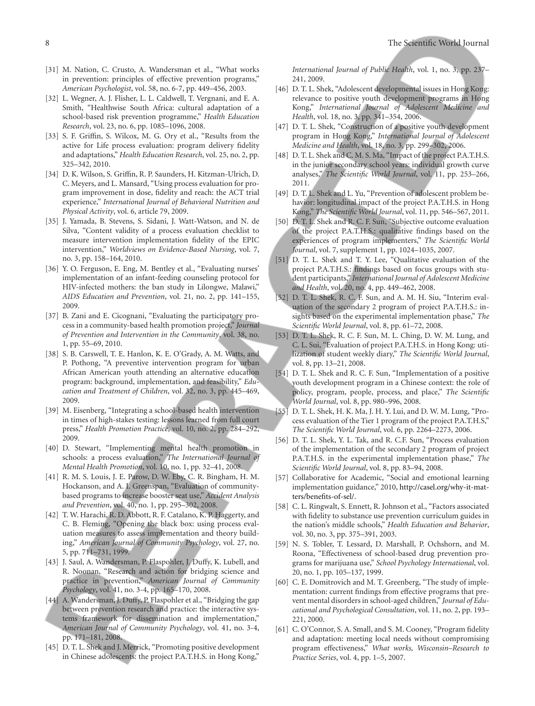- [31] M. Nation, C. Crusto, A. Wandersman et al., "What works in prevention: principles of effective prevention programs," *American Psychologist*, vol. 58, no. 6-7, pp. 449–456, 2003.
- [32] L. Wegner, A. J. Flisher, L. L. Caldwell, T. Vergnani, and E. A. Smith, "Healthwise South Africa: cultural adaptation of a school-based risk prevention programme," *Health Education Research*, vol. 23, no. 6, pp. 1085–1096, 2008.
- [33] S. F. Griffin, S. Wilcox, M. G. Ory et al., "Results from the active for Life process evaluation: program delivery fidelity and adaptations," *Health Education Research*, vol. 25, no. 2, pp. 325–342, 2010.
- [34] D. K. Wilson, S. Griffin, R. P. Saunders, H. Kitzman-Ulrich, D. C. Meyers, and L. Mansard, "Using process evaluation for program improvement in dose, fidelity and reach: the ACT trial experience," *International Journal of Behavioral Nutrition and Physical Activity*, vol. 6, article 79, 2009.
- [35] J. Yamada, B. Stevens, S. Sidani, J. Watt-Watson, and N. de Silva, "Content validity of a process evaluation checklist to measure intervention implementation fidelity of the EPIC intervention," *Worldviews on Evidence-Based Nursing*, vol. 7, no. 3, pp. 158–164, 2010.
- [36] Y. O. Ferguson, E. Eng, M. Bentley et al., "Evaluating nurses' implementation of an infant-feeding counseling protocol for HIV-infected mothers: the ban study in Lilongwe, Malawi," *AIDS Education and Prevention*, vol. 21, no. 2, pp. 141–155, 2009.
- [37] B. Zani and E. Cicognani, "Evaluating the participatory process in a community-based health promotion project," *Journal of Prevention and Intervention in the Community*, vol. 38, no. 1, pp. 55–69, 2010.
- [38] S. B. Carswell, T. E. Hanlon, K. E. O'Grady, A. M. Watts, and P. Pothong, "A preventive intervention program for urban African American youth attending an alternative education program: background, implementation, and feasibility," *Education and Treatment of Children*, vol. 32, no. 3, pp. 445–469, 2009.
- [39] M. Eisenberg, "Integrating a school-based health intervention in times of high-stakes testing: lessons learned from full court press," *Health Promotion Practice*, vol. 10, no. 2, pp. 284–292, 2009.
- [40] D. Stewart, "Implementing mental health promotion in schools: a process evaluation," *The International Journal of Mental Health Promotion*, vol. 10, no. 1, pp. 32–41, 2008.
- [41] R. M. S. Louis, J. E. Parow, D. W. Eby, C. R. Bingham, H. M. Hockanson, and A. I. Greenspan, "Evaluation of communitybased programs to increase booster seat use," *Accident Analysis and Prevention*, vol. 40, no. 1, pp. 295–302, 2008.
- [42] T. W. Harachi, R. D. Abbott, R. F. Catalano, K. P. Haggerty, and C. B. Fleming, "Opening the black box: using process evaluation measures to assess implementation and theory building," *American Journal of Community Psychology*, vol. 27, no. 5, pp. 711–731, 1999.
- [43] J. Saul, A. Wandersman, P. Flaspohler, J. Duffy, K. Lubell, and R. Noonan, "Research and action for bridging science and practice in prevention," *American Journal of Community Psychology*, vol. 41, no. 3-4, pp. 165–170, 2008.
- [44] A. Wandersman, J. Duffy, P. Flaspohler et al., "Bridging the gap between prevention research and practice: the interactive systems framework for dissemination and implementation," *American Journal of Community Psychology*, vol. 41, no. 3-4, pp. 171–181, 2008.
- [45] D. T. L. Shek and J. Merrick, "Promoting positive development" in Chinese adolescents: the project P.A.T.H.S. in Hong Kong,"

*International Journal of Public Health*, vol. 1, no. 3, pp. 237– 241, 2009.

- [46] D. T. L. Shek, "Adolescent developmental issues in Hong Kong: relevance to positive youth development programs in Hong Kong," *International Journal of Adolescent Medicine and Health*, vol. 18, no. 3, pp. 341–354, 2006.
- [47] D. T. L. Shek, "Construction of a positive youth development program in Hong Kong," *International Journal of Adolescent Medicine and Health*, vol. 18, no. 3, pp. 299–302, 2006.
- [48] D. T. L. Shek and C. M. S. Ma, "Impact of the project P.A.T.H.S. in the junior secondary school years: individual growth curve analyses," *The Scientific World Journal*, vol. 11, pp. 253–266, 2011.
- [49] D. T. L. Shek and L. Yu, "Prevention of adolescent problem behavior: longitudinal impact of the project P.A.T.H.S. in Hong Kong," *The Scientific World Journal*, vol. 11, pp. 546–567, 2011.
- [50] D. T. L. Shek and R. C. F. Sun, "Subjective outcome evaluation of the project P.A.T.H.S.: qualitative findings based on the experiences of program implementers," *The Scientific World Journal*, vol. 7, supplement 1, pp. 1024–1035, 2007.
- [51] D. T. L. Shek and T. Y. Lee, "Qualitative evaluation of the project P.A.T.H.S.: findings based on focus groups with student participants," *International Journal of Adolescent Medicine and Health*, vol. 20, no. 4, pp. 449–462, 2008.
- [52] D. T. L. Shek, R. C. F. Sun, and A. M. H. Siu, "Interim evaluation of the secondary 2 program of project P.A.T.H.S.: insights based on the experimental implementation phase," *The Scientific World Journal*, vol. 8, pp. 61–72, 2008.
- [53] D. T. L. Shek, R. C. F. Sun, M. L. Ching, D. W. M. Lung, and C. L. Sui, "Evaluation of project P.A.T.H.S. in Hong Kong: utilization of student weekly diary," *The Scientific World Journal*, vol. 8, pp. 13–21, 2008.
- [54] D. T. L. Shek and R. C. F. Sun, "Implementation of a positive youth development program in a Chinese context: the role of policy, program, people, process, and place," *The Scientific World Journal*, vol. 8, pp. 980–996, 2008.
- [55] D. T. L. Shek, H. K. Ma, J. H. Y. Lui, and D. W. M. Lung, "Process evaluation of the Tier 1 program of the project P.A.T.H.S," *The Scientific World Journal*, vol. 6, pp. 2264–2273, 2006.
- [56] D. T. L. Shek, Y. L. Tak, and R. C.F. Sun, "Process evaluation of the implementation of the secondary 2 program of project P.A.T.H.S. in the experimental implementation phase," *The Scientific World Journal*, vol. 8, pp. 83–94, 2008.
- [57] Collaborative for Academic, "Social and emotional learning implementation guidance," 2010, http://casel.org/why-it-matters/benefits-of-sel/.
- [58] C. L. Ringwalt, S. Ennett, R. Johnson et al., "Factors associated with fidelity to substance use prevention curriculum guides in the nation's middle schools," *Health Education and Behavior*, vol. 30, no. 3, pp. 375–391, 2003.
- [59] N. S. Tobler, T. Lessard, D. Marshall, P. Ochshorn, and M. Roona, "Effectiveness of school-based drug prevention programs for marijuana use," *School Psychology International*, vol. 20, no. 1, pp. 105–137, 1999.
- [60] C. E. Domitrovich and M. T. Greenberg, "The study of implementation: current findings from effective programs that prevent mental disorders in school-aged children," *Journal of Educational and Psychological Consultation*, vol. 11, no. 2, pp. 193– 221, 2000.
- [61] C. O'Connor, S. A. Small, and S. M. Cooney, "Program fidelity and adaptation: meeting local needs without compromising program effectiveness," *What works, Wisconsin–Research to Practice Series*, vol. 4, pp. 1–5, 2007.